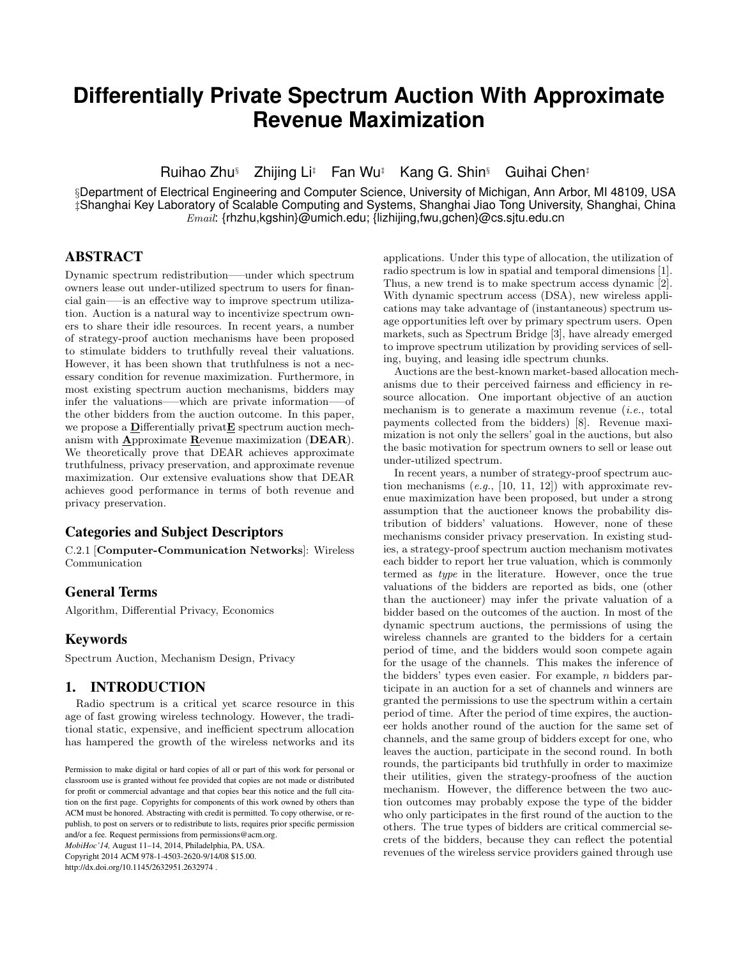# **Differentially Private Spectrum Auction With Approximate Revenue Maximization**

Ruihao Zhu§ Zhijing Li‡ Fan Wu‡ Kang G. Shin§ Guihai Chen‡

§Department of Electrical Engineering and Computer Science, University of Michigan, Ann Arbor, MI 48109, USA ‡Shanghai Key Laboratory of Scalable Computing and Systems, Shanghai Jiao Tong University, Shanghai, China  $Email:$  {rhzhu,kgshin}@umich.edu; {lizhijing,fwu,gchen}@cs.sjtu.edu.cn

# ABSTRACT

Dynamic spectrum redistribution—–under which spectrum owners lease out under-utilized spectrum to users for financial gain—–is an effective way to improve spectrum utilization. Auction is a natural way to incentivize spectrum owners to share their idle resources. In recent years, a number of strategy-proof auction mechanisms have been proposed to stimulate bidders to truthfully reveal their valuations. However, it has been shown that truthfulness is not a necessary condition for revenue maximization. Furthermore, in most existing spectrum auction mechanisms, bidders may infer the valuations—–which are private information—–of the other bidders from the auction outcome. In this paper, we propose a Differentially privat**E** spectrum auction mechanism with  $\triangle$ pproximate  $\triangle$ evenue maximization (DEAR). We theoretically prove that DEAR achieves approximate truthfulness, privacy preservation, and approximate revenue maximization. Our extensive evaluations show that DEAR achieves good performance in terms of both revenue and privacy preservation.

# Categories and Subject Descriptors

C.2.1 [Computer-Communication Networks]: Wireless Communication

# General Terms

Algorithm, Differential Privacy, Economics

# Keywords

Spectrum Auction, Mechanism Design, Privacy

# 1. INTRODUCTION

Radio spectrum is a critical yet scarce resource in this age of fast growing wireless technology. However, the traditional static, expensive, and inefficient spectrum allocation has hampered the growth of the wireless networks and its

*MobiHoc'14,* August 11–14, 2014, Philadelphia, PA, USA. Copyright 2014 ACM 978-1-4503-2620-9/14/08 \$15.00. http://dx.doi.org/10.1145/2632951.2632974 .

applications. Under this type of allocation, the utilization of radio spectrum is low in spatial and temporal dimensions [1]. Thus, a new trend is to make spectrum access dynamic [2]. With dynamic spectrum access (DSA), new wireless applications may take advantage of (instantaneous) spectrum usage opportunities left over by primary spectrum users. Open markets, such as Spectrum Bridge [3], have already emerged to improve spectrum utilization by providing services of selling, buying, and leasing idle spectrum chunks.

Auctions are the best-known market-based allocation mechanisms due to their perceived fairness and efficiency in resource allocation. One important objective of an auction mechanism is to generate a maximum revenue (i.e., total payments collected from the bidders) [8]. Revenue maximization is not only the sellers' goal in the auctions, but also the basic motivation for spectrum owners to sell or lease out under-utilized spectrum.

In recent years, a number of strategy-proof spectrum auction mechanisms  $(e.g., [10, 11, 12])$  with approximate revenue maximization have been proposed, but under a strong assumption that the auctioneer knows the probability distribution of bidders' valuations. However, none of these mechanisms consider privacy preservation. In existing studies, a strategy-proof spectrum auction mechanism motivates each bidder to report her true valuation, which is commonly termed as type in the literature. However, once the true valuations of the bidders are reported as bids, one (other than the auctioneer) may infer the private valuation of a bidder based on the outcomes of the auction. In most of the dynamic spectrum auctions, the permissions of using the wireless channels are granted to the bidders for a certain period of time, and the bidders would soon compete again for the usage of the channels. This makes the inference of the bidders' types even easier. For example, n bidders participate in an auction for a set of channels and winners are granted the permissions to use the spectrum within a certain period of time. After the period of time expires, the auctioneer holds another round of the auction for the same set of channels, and the same group of bidders except for one, who leaves the auction, participate in the second round. In both rounds, the participants bid truthfully in order to maximize their utilities, given the strategy-proofness of the auction mechanism. However, the difference between the two auction outcomes may probably expose the type of the bidder who only participates in the first round of the auction to the others. The true types of bidders are critical commercial secrets of the bidders, because they can reflect the potential revenues of the wireless service providers gained through use

Permission to make digital or hard copies of all or part of this work for personal or classroom use is granted without fee provided that copies are not made or distributed for profit or commercial advantage and that copies bear this notice and the full citation on the first page. Copyrights for components of this work owned by others than ACM must be honored. Abstracting with credit is permitted. To copy otherwise, or republish, to post on servers or to redistribute to lists, requires prior specific permission and/or a fee. Request permissions from permissions@acm.org.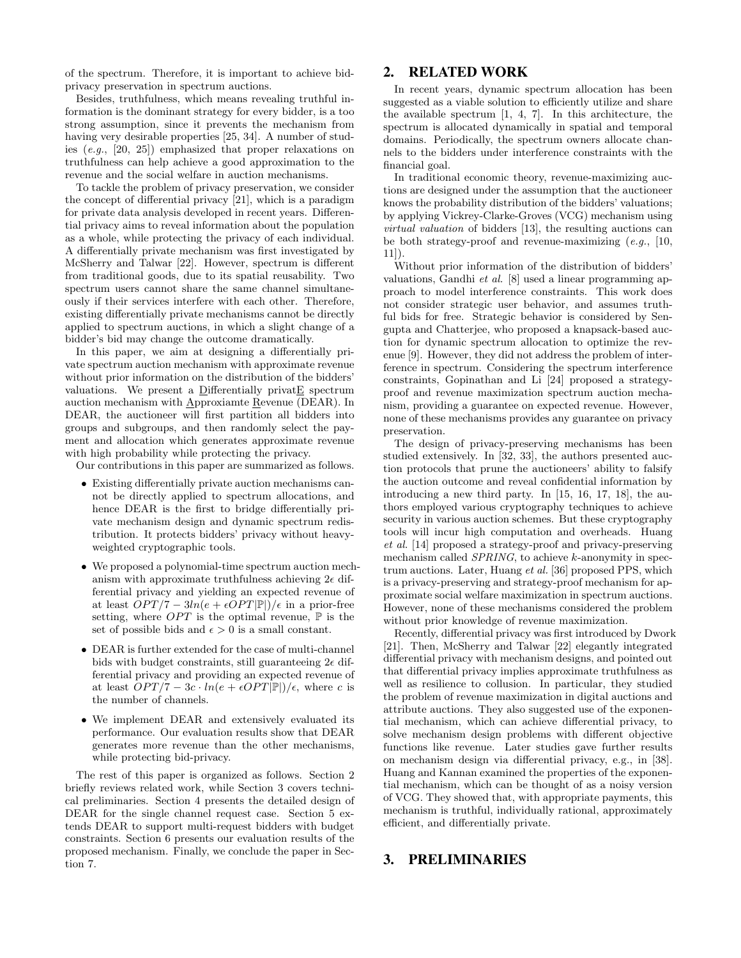of the spectrum. Therefore, it is important to achieve bidprivacy preservation in spectrum auctions.

Besides, truthfulness, which means revealing truthful information is the dominant strategy for every bidder, is a too strong assumption, since it prevents the mechanism from having very desirable properties [25, 34]. A number of studies (e.g., [20, 25]) emphasized that proper relaxations on truthfulness can help achieve a good approximation to the revenue and the social welfare in auction mechanisms.

To tackle the problem of privacy preservation, we consider the concept of differential privacy [21], which is a paradigm for private data analysis developed in recent years. Differential privacy aims to reveal information about the population as a whole, while protecting the privacy of each individual. A differentially private mechanism was first investigated by McSherry and Talwar [22]. However, spectrum is different from traditional goods, due to its spatial reusability. Two spectrum users cannot share the same channel simultaneously if their services interfere with each other. Therefore, existing differentially private mechanisms cannot be directly applied to spectrum auctions, in which a slight change of a bidder's bid may change the outcome dramatically.

In this paper, we aim at designing a differentially private spectrum auction mechanism with approximate revenue without prior information on the distribution of the bidders' valuations. We present a Differentially privatE spectrum auction mechanism with Approxiamte Revenue (DEAR). In DEAR, the auctioneer will first partition all bidders into groups and subgroups, and then randomly select the payment and allocation which generates approximate revenue with high probability while protecting the privacy.

Our contributions in this paper are summarized as follows.

- Existing differentially private auction mechanisms cannot be directly applied to spectrum allocations, and hence DEAR is the first to bridge differentially private mechanism design and dynamic spectrum redistribution. It protects bidders' privacy without heavyweighted cryptographic tools.
- We proposed a polynomial-time spectrum auction mechanism with approximate truthfulness achieving  $2\epsilon$  differential privacy and yielding an expected revenue of at least  $OPT/7 - 3ln(e + \epsilon OPT|\mathbb{P}|)/\epsilon$  in a prior-free setting, where  $OPT$  is the optimal revenue,  $\mathbb P$  is the set of possible bids and  $\epsilon > 0$  is a small constant.
- DEAR is further extended for the case of multi-channel bids with budget constraints, still guaranteeing  $2\epsilon$  differential privacy and providing an expected revenue of at least  $OPT/7 - 3c \cdot ln(e + \epsilon OPT|\mathbb{P}|)/\epsilon$ , where c is the number of channels.
- We implement DEAR and extensively evaluated its performance. Our evaluation results show that DEAR generates more revenue than the other mechanisms, while protecting bid-privacy.

The rest of this paper is organized as follows. Section 2 briefly reviews related work, while Section 3 covers technical preliminaries. Section 4 presents the detailed design of DEAR for the single channel request case. Section 5 extends DEAR to support multi-request bidders with budget constraints. Section 6 presents our evaluation results of the proposed mechanism. Finally, we conclude the paper in Section 7.

# 2. RELATED WORK

In recent years, dynamic spectrum allocation has been suggested as a viable solution to efficiently utilize and share the available spectrum [1, 4, 7]. In this architecture, the spectrum is allocated dynamically in spatial and temporal domains. Periodically, the spectrum owners allocate channels to the bidders under interference constraints with the financial goal.

In traditional economic theory, revenue-maximizing auctions are designed under the assumption that the auctioneer knows the probability distribution of the bidders' valuations; by applying Vickrey-Clarke-Groves (VCG) mechanism using virtual valuation of bidders [13], the resulting auctions can be both strategy-proof and revenue-maximizing  $(e.g., 10,$ 11]).

Without prior information of the distribution of bidders' valuations, Gandhi et al. [8] used a linear programming approach to model interference constraints. This work does not consider strategic user behavior, and assumes truthful bids for free. Strategic behavior is considered by Sengupta and Chatterjee, who proposed a knapsack-based auction for dynamic spectrum allocation to optimize the revenue [9]. However, they did not address the problem of interference in spectrum. Considering the spectrum interference constraints, Gopinathan and Li [24] proposed a strategyproof and revenue maximization spectrum auction mechanism, providing a guarantee on expected revenue. However, none of these mechanisms provides any guarantee on privacy preservation.

The design of privacy-preserving mechanisms has been studied extensively. In [32, 33], the authors presented auction protocols that prune the auctioneers' ability to falsify the auction outcome and reveal confidential information by introducing a new third party. In [15, 16, 17, 18], the authors employed various cryptography techniques to achieve security in various auction schemes. But these cryptography tools will incur high computation and overheads. Huang et al. [14] proposed a strategy-proof and privacy-preserving mechanism called *SPRING*, to achieve k-anonymity in spectrum auctions. Later, Huang et al. [36] proposed PPS, which is a privacy-preserving and strategy-proof mechanism for approximate social welfare maximization in spectrum auctions. However, none of these mechanisms considered the problem without prior knowledge of revenue maximization.

Recently, differential privacy was first introduced by Dwork [21]. Then, McSherry and Talwar [22] elegantly integrated differential privacy with mechanism designs, and pointed out that differential privacy implies approximate truthfulness as well as resilience to collusion. In particular, they studied the problem of revenue maximization in digital auctions and attribute auctions. They also suggested use of the exponential mechanism, which can achieve differential privacy, to solve mechanism design problems with different objective functions like revenue. Later studies gave further results on mechanism design via differential privacy, e.g., in [38]. Huang and Kannan examined the properties of the exponential mechanism, which can be thought of as a noisy version of VCG. They showed that, with appropriate payments, this mechanism is truthful, individually rational, approximately efficient, and differentially private.

# 3. PRELIMINARIES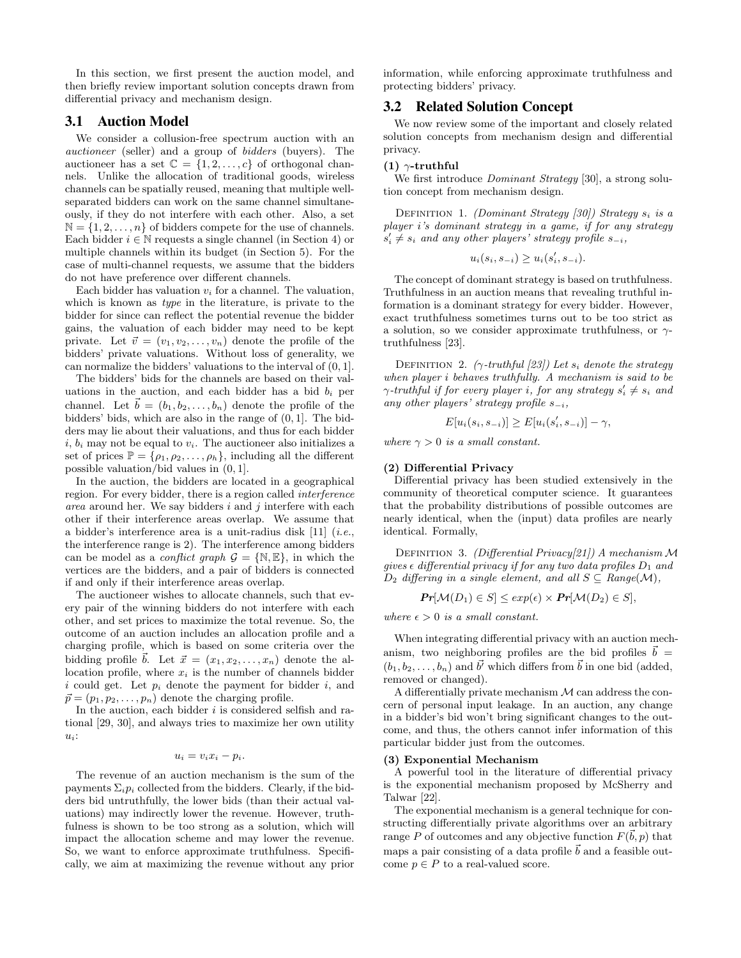In this section, we first present the auction model, and then briefly review important solution concepts drawn from differential privacy and mechanism design.

# 3.1 Auction Model

We consider a collusion-free spectrum auction with an auctioneer (seller) and a group of bidders (buyers). The auctioneer has a set  $\mathbb{C} = \{1, 2, ..., c\}$  of orthogonal channels. Unlike the allocation of traditional goods, wireless channels can be spatially reused, meaning that multiple wellseparated bidders can work on the same channel simultaneously, if they do not interfere with each other. Also, a set  $\mathbb{N} = \{1, 2, \ldots, n\}$  of bidders compete for the use of channels. Each bidder  $i \in \mathbb{N}$  requests a single channel (in Section 4) or multiple channels within its budget (in Section 5). For the case of multi-channel requests, we assume that the bidders do not have preference over different channels.

Each bidder has valuation  $v_i$  for a channel. The valuation, which is known as type in the literature, is private to the bidder for since can reflect the potential revenue the bidder gains, the valuation of each bidder may need to be kept private. Let  $\vec{v} = (v_1, v_2, \dots, v_n)$  denote the profile of the bidders' private valuations. Without loss of generality, we can normalize the bidders' valuations to the interval of (0, 1].

The bidders' bids for the channels are based on their valuations in the auction, and each bidder has a bid  $b_i$  per channel. Let  $\vec{b} = (b_1, b_2, \ldots, b_n)$  denote the profile of the bidders' bids, which are also in the range of (0, 1]. The bidders may lie about their valuations, and thus for each bidder i,  $b_i$  may not be equal to  $v_i$ . The auctioneer also initializes a set of prices  $\mathbb{P} = {\rho_1, \rho_2, \ldots, \rho_h}$ , including all the different possible valuation/bid values in (0, 1].

In the auction, the bidders are located in a geographical region. For every bidder, there is a region called interference area around her. We say bidders  $i$  and  $j$  interfere with each other if their interference areas overlap. We assume that a bidder's interference area is a unit-radius disk  $[11]$  (*i.e.*, the interference range is 2). The interference among bidders can be model as a *conflict graph*  $\mathcal{G} = \{ \mathbb{N}, \mathbb{E} \}$ , in which the vertices are the bidders, and a pair of bidders is connected if and only if their interference areas overlap.

The auctioneer wishes to allocate channels, such that every pair of the winning bidders do not interfere with each other, and set prices to maximize the total revenue. So, the outcome of an auction includes an allocation profile and a charging profile, which is based on some criteria over the bidding profile  $\vec{b}$ . Let  $\vec{x} = (x_1, x_2, \ldots, x_n)$  denote the allocation profile, where  $x_i$  is the number of channels bidder i could get. Let  $p_i$  denote the payment for bidder i, and  $\vec{p} = (p_1, p_2, \dots, p_n)$  denote the charging profile.

In the auction, each bidder  $i$  is considered selfish and rational [29, 30], and always tries to maximize her own utility  $u_i$ :

 $u_i = v_i x_i - p_i.$ 

The revenue of an auction mechanism is the sum of the payments  $\Sigma_i p_i$  collected from the bidders. Clearly, if the bidders bid untruthfully, the lower bids (than their actual valuations) may indirectly lower the revenue. However, truthfulness is shown to be too strong as a solution, which will impact the allocation scheme and may lower the revenue. So, we want to enforce approximate truthfulness. Specifically, we aim at maximizing the revenue without any prior information, while enforcing approximate truthfulness and protecting bidders' privacy.

# 3.2 Related Solution Concept

We now review some of the important and closely related solution concepts from mechanism design and differential privacy.

#### (1)  $\gamma$ -truthful

We first introduce *Dominant Strategy* [30], a strong solution concept from mechanism design.

DEFINITION 1. (Dominant Strategy [30]) Strategy  $s_i$  is a player i's dominant strategy in a game, if for any strategy  $s_i' \neq s_i$  and any other players' strategy profile  $s_{-i}$ ,

$$
u_i(s_i, s_{-i}) \ge u_i(s'_i, s_{-i}).
$$

The concept of dominant strategy is based on truthfulness. Truthfulness in an auction means that revealing truthful information is a dominant strategy for every bidder. However, exact truthfulness sometimes turns out to be too strict as a solution, so we consider approximate truthfulness, or  $\gamma$ truthfulness [23].

DEFINITION 2. ( $\gamma$ -truthful [23]) Let  $s_i$  denote the strategy when player i behaves truthfully. A mechanism is said to be  $\gamma$ -truthful if for every player i, for any strategy  $s_i' \neq s_i$  and any other players' strategy profile  $s_{-i}$ ,

$$
E[u_i(s_i, s_{-i})] \ge E[u_i(s'_i, s_{-i})] - \gamma,
$$

where  $\gamma > 0$  is a small constant.

### (2) Differential Privacy

Differential privacy has been studied extensively in the community of theoretical computer science. It guarantees that the probability distributions of possible outcomes are nearly identical, when the (input) data profiles are nearly identical. Formally,

DEFINITION 3. (Differential Privacy[21]) A mechanism  $\mathcal M$ gives  $\epsilon$  differential privacy if for any two data profiles  $D_1$  and  $D_2$  differing in a single element, and all  $S \subseteq Range(\mathcal{M}),$ 

$$
Pr[\mathcal{M}(D_1) \in S] \leq exp(\epsilon) \times Pr[\mathcal{M}(D_2) \in S],
$$

where  $\epsilon > 0$  is a small constant.

When integrating differential privacy with an auction mechanism, two neighboring profiles are the bid profiles  $\vec{b} =$  $(b_1, b_2, \ldots, b_n)$  and  $\vec{b'}$  which differs from  $\vec{b}$  in one bid (added, removed or changed).

A differentially private mechanism  $M$  can address the concern of personal input leakage. In an auction, any change in a bidder's bid won't bring significant changes to the outcome, and thus, the others cannot infer information of this particular bidder just from the outcomes.

### (3) Exponential Mechanism

A powerful tool in the literature of differential privacy is the exponential mechanism proposed by McSherry and Talwar [22].

The exponential mechanism is a general technique for constructing differentially private algorithms over an arbitrary range P of outcomes and any objective function  $F(\vec{b}, p)$  that maps a pair consisting of a data profile  $\vec{b}$  and a feasible outcome  $p \in P$  to a real-valued score.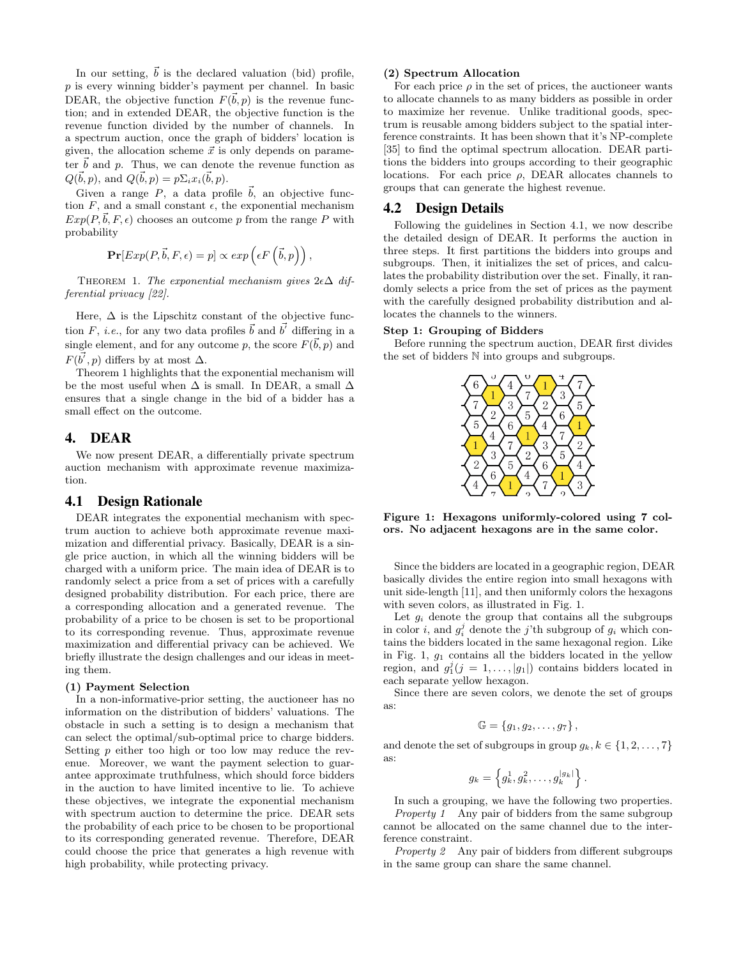In our setting,  $\vec{b}$  is the declared valuation (bid) profile,  $p$  is every winning bidder's payment per channel. In basic DEAR, the objective function  $F(\vec{b}, p)$  is the revenue function; and in extended DEAR, the objective function is the revenue function divided by the number of channels. In a spectrum auction, once the graph of bidders' location is given, the allocation scheme  $\vec{x}$  is only depends on parameter  $\vec{b}$  and p. Thus, we can denote the revenue function as  $Q(\vec{b}, p)$ , and  $Q(\vec{b}, p) = p \Sigma_i x_i(\vec{b}, p)$ .

Given a range  $P$ , a data profile  $\vec{b}$ , an objective function  $F$ , and a small constant  $\epsilon$ , the exponential mechanism  $Exp(P, \vec{b}, F, \epsilon)$  chooses an outcome p from the range P with probability

$$
\mathbf{Pr}[Exp(P, \vec{b}, F, \epsilon) = p] \propto exp\left(\epsilon F\left(\vec{b}, p\right)\right),
$$

THEOREM 1. The exponential mechanism gives  $2\epsilon\Delta$  differential privacy [22].

Here,  $\Delta$  is the Lipschitz constant of the objective function F, *i.e.*, for any two data profiles  $\vec{b}$  and  $\vec{b'}$  differing in a single element, and for any outcome p, the score  $F(\vec{b}, p)$  and  $F(\vec{b}', p)$  differs by at most  $\Delta$ .

Theorem 1 highlights that the exponential mechanism will be the most useful when  $\Delta$  is small. In DEAR, a small  $\Delta$ ensures that a single change in the bid of a bidder has a small effect on the outcome.

# 4. DEAR

We now present DEAR, a differentially private spectrum auction mechanism with approximate revenue maximization.

### 4.1 Design Rationale

DEAR integrates the exponential mechanism with spectrum auction to achieve both approximate revenue maximization and differential privacy. Basically, DEAR is a single price auction, in which all the winning bidders will be charged with a uniform price. The main idea of DEAR is to randomly select a price from a set of prices with a carefully designed probability distribution. For each price, there are a corresponding allocation and a generated revenue. The probability of a price to be chosen is set to be proportional to its corresponding revenue. Thus, approximate revenue maximization and differential privacy can be achieved. We briefly illustrate the design challenges and our ideas in meeting them.

### (1) Payment Selection

In a non-informative-prior setting, the auctioneer has no information on the distribution of bidders' valuations. The obstacle in such a setting is to design a mechanism that can select the optimal/sub-optimal price to charge bidders. Setting p either too high or too low may reduce the revenue. Moreover, we want the payment selection to guarantee approximate truthfulness, which should force bidders in the auction to have limited incentive to lie. To achieve these objectives, we integrate the exponential mechanism with spectrum auction to determine the price. DEAR sets the probability of each price to be chosen to be proportional to its corresponding generated revenue. Therefore, DEAR could choose the price that generates a high revenue with high probability, while protecting privacy.

### (2) Spectrum Allocation

For each price  $\rho$  in the set of prices, the auctioneer wants to allocate channels to as many bidders as possible in order to maximize her revenue. Unlike traditional goods, spectrum is reusable among bidders subject to the spatial interference constraints. It has been shown that it's NP-complete [35] to find the optimal spectrum allocation. DEAR partitions the bidders into groups according to their geographic locations. For each price  $\rho$ , DEAR allocates channels to groups that can generate the highest revenue.

### 4.2 Design Details

Following the guidelines in Section 4.1, we now describe the detailed design of DEAR. It performs the auction in three steps. It first partitions the bidders into groups and subgroups. Then, it initializes the set of prices, and calculates the probability distribution over the set. Finally, it randomly selects a price from the set of prices as the payment with the carefully designed probability distribution and allocates the channels to the winners.

### Step 1: Grouping of Bidders

Before running the spectrum auction, DEAR first divides the set of bidders N into groups and subgroups.



Figure 1: Hexagons uniformly-colored using 7 colors. No adjacent hexagons are in the same color.

Since the bidders are located in a geographic region, DEAR basically divides the entire region into small hexagons with unit side-length [11], and then uniformly colors the hexagons with seven colors, as illustrated in Fig. 1.

Let  $g_i$  denote the group that contains all the subgroups in color *i*, and  $g_i^j$  denote the *j*'th subgroup of  $g_i$  which contains the bidders located in the same hexagonal region. Like in Fig. 1,  $g_1$  contains all the bidders located in the yellow region, and  $g_1^j$   $(j = 1, ..., |g_1|)$  contains bidders located in each separate yellow hexagon.

Since there are seven colors, we denote the set of groups as:

$$
\mathbb{G} = \{g_1, g_2, \ldots, g_7\},\,
$$

and denote the set of subgroups in group  $g_k, k \in \{1, 2, \ldots, 7\}$ as:

$$
g_k = \left\{g_k^1, g_k^2, \ldots, g_k^{|g_k|}\right\}
$$

.

In such a grouping, we have the following two properties. Property 1 Any pair of bidders from the same subgroup cannot be allocated on the same channel due to the interference constraint.

Property 2 Any pair of bidders from different subgroups in the same group can share the same channel.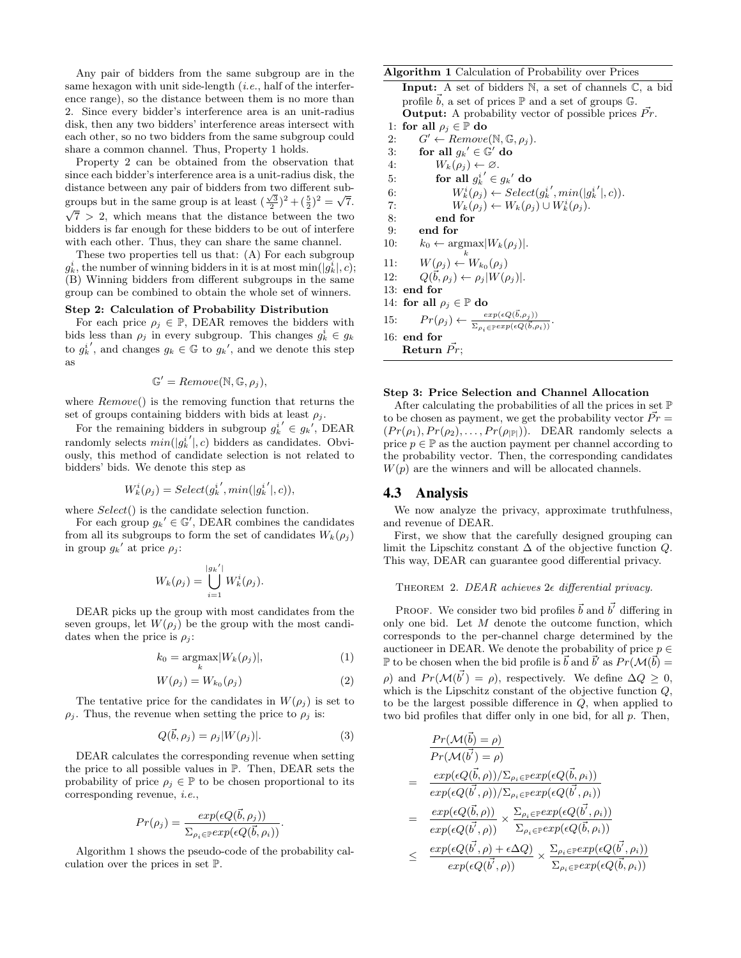Any pair of bidders from the same subgroup are in the same hexagon with unit side-length  $(i.e.,$  half of the interference range), so the distance between them is no more than 2. Since every bidder's interference area is an unit-radius disk, then any two bidders' interference areas intersect with each other, so no two bidders from the same subgroup could share a common channel. Thus, Property 1 holds.

Property 2 can be obtained from the observation that since each bidder's interference area is a unit-radius disk, the distance between any pair of bidders from two different subdistance between any pair or bidders from two different sub-<br>groups but in the same group is at least  $(\frac{\sqrt{3}}{2})^2 + (\frac{5}{2})^2 = \sqrt{7}$ .  $\sqrt{7}$  > 2, which means that the distance between the two bidders is far enough for these bidders to be out of interfere with each other. Thus, they can share the same channel.

These two properties tell us that: (A) For each subgroup  $g_k^i$ , the number of winning bidders in it is at most  $\min(|g_k^i|, c)$ ; (B) Winning bidders from different subgroups in the same group can be combined to obtain the whole set of winners.

### Step 2: Calculation of Probability Distribution

For each price  $\rho_i \in \mathbb{P}$ , DEAR removes the bidders with bids less than  $\rho_j$  in every subgroup. This changes  $g_k^i \in g_k$ to  $g_k^{i'}$ , and changes  $g_k \in \mathbb{G}$  to  $g_k'$ , and we denote this step as

$$
\mathbb{G}' = Remove(\mathbb{N}, \mathbb{G}, \rho_j),
$$

where  $Remove()$  is the removing function that returns the set of groups containing bidders with bids at least  $\rho_i$ .

For the remaining bidders in subgroup  $g_k^{i'} \in g_k'$ , DEAR randomly selects  $min(|g_k^{i'}|, c)$  bidders as candidates. Obviously, this method of candidate selection is not related to bidders' bids. We denote this step as

$$
W_k^i(\rho_j) = Select(g_k^{i'}, min(|g_k^{i'}|, c)),
$$

where  $Select()$  is the candidate selection function.

For each group  $g_k' \in \mathbb{G}'$ , DEAR combines the candidates from all its subgroups to form the set of candidates  $W_k(\rho_i)$ in group  $g_k'$  at price  $\rho_j$ :

$$
W_k(\rho_j) = \bigcup_{i=1}^{|g_k'|} W_k^i(\rho_j).
$$

DEAR picks up the group with most candidates from the seven groups, let  $W(\rho_i)$  be the group with the most candidates when the price is  $\rho_j$ :

$$
k_0 = \underset{k}{\operatorname{argmax}} |W_k(\rho_j)|,\tag{1}
$$

$$
W(\rho_j) = W_{k_0}(\rho_j) \tag{2}
$$

The tentative price for the candidates in  $W(\rho_i)$  is set to  $\rho_j$ . Thus, the revenue when setting the price to  $\rho_j$  is:

$$
Q(\vec{b}, \rho_j) = \rho_j |W(\rho_j)|. \tag{3}
$$

.

DEAR calculates the corresponding revenue when setting the price to all possible values in P. Then, DEAR sets the probability of price  $\rho_i \in \mathbb{P}$  to be chosen proportional to its corresponding revenue, i.e.,

$$
Pr(\rho_j) = \frac{exp(\epsilon Q(\vec{b}, \rho_j))}{\sum_{\rho_i \in \mathbb{P}} exp(\epsilon Q(\vec{b}, \rho_i))}
$$

Algorithm 1 shows the pseudo-code of the probability calculation over the prices in set P.

# Algorithm 1 Calculation of Probability over Prices

Input: A set of bidders N, a set of channels C, a bid profile  $\vec{b}$ , a set of prices  $\mathbb P$  and a set of groups  $\mathbb G$ . **Output:** A probability vector of possible prices  $\vec{Pr}$ . 1: for all  $\rho_j \in \mathbb{P}$  do 2:  $G' \leftarrow Remove(\mathbb{N}, \mathbb{G}, \rho_j).$ 3: for all  $g_k' \in \mathbb{G}'$  do 4:  $W_k(\rho_j) \leftarrow \emptyset$ . 5: for all  $g_k^{i'} \in g_k'$  do 6:  $W_k^i(\rho_j) \leftarrow Select(g_k^{i'}, min(|g_k^{i'}|, c)).$ 7:  $W_k(\rho_j) \leftarrow W_k(\rho_j) \cup W_k^i(\rho_j).$ 8: end for 9: end for 10:  $k_0 \leftarrow \text{argmax}|W_k(\rho_j)|.$ 11:  $W(\rho_j) \leftarrow W_{k_0}(\rho_j)$ 12:  $Q(\vec{b}, \rho_j) \leftarrow \rho_j |W(\rho_j)|.$ 13: end for 14: for all  $\rho_j \in \mathbb{P}$  do 15:  $Pr(\rho_j) \leftarrow \frac{exp(\epsilon Q(\vec{b}, \rho_j))}{\sum_{\rho_i \in \mathbb{P}} exp(\epsilon Q(\vec{b}, \rho_i))}.$ 16: end for Return  $\vec{Pr}$ ;

### Step 3: Price Selection and Channel Allocation

After calculating the probabilities of all the prices in set  $\mathbb P$ to be chosen as payment, we get the probability vector  $\vec{Pr} =$  $(Pr(\rho_1), Pr(\rho_2), \ldots, Pr(\rho_{|\mathbb{P}|}))$ . DEAR randomly selects a price  $p \in \mathbb{P}$  as the auction payment per channel according to the probability vector. Then, the corresponding candidates  $W(p)$  are the winners and will be allocated channels.

### 4.3 Analysis

We now analyze the privacy, approximate truthfulness, and revenue of DEAR.

First, we show that the carefully designed grouping can limit the Lipschitz constant  $\Delta$  of the objective function  $Q$ . This way, DEAR can guarantee good differential privacy.

### THEOREM 2. DEAR achieves  $2\epsilon$  differential privacy.

PROOF. We consider two bid profiles  $\vec{b}$  and  $\vec{b'}$  differing in only one bid. Let  $M$  denote the outcome function, which corresponds to the per-channel charge determined by the auctioneer in DEAR. We denote the probability of price  $p \in$  $\mathbb P$  to be chosen when the bid profile is  $\vec b$  and  $\vec b'$  as  $Pr(\mathcal{M}(\vec b) =$  $\rho$ ) and  $Pr(\mathcal{M}(\vec{b}') = \rho)$ , respectively. We define  $\Delta Q \geq 0$ , which is the Lipschitz constant of the objective function  $Q$ , to be the largest possible difference in  $Q$ , when applied to two bid profiles that differ only in one bid, for all p. Then,

$$
\frac{Pr(\mathcal{M}(\vec{b}) = \rho)}{Pr(\mathcal{M}(\vec{b'}) = \rho)}
$$
\n
$$
= \frac{exp(\epsilon Q(\vec{b}, \rho))/\sum_{\rho_i \in \mathbb{P}} exp(\epsilon Q(\vec{b}, \rho_i))}{exp(\epsilon Q(\vec{b'}, \rho))/\sum_{\rho_i \in \mathbb{P}} exp(\epsilon Q(\vec{b'}, \rho_i))}
$$
\n
$$
= \frac{exp(\epsilon Q(\vec{b}, \rho))}{exp(\epsilon Q(\vec{b'}, \rho))} \times \frac{\sum_{\rho_i \in \mathbb{P}} exp(\epsilon Q(\vec{b'}, \rho_i))}{\sum_{\rho_i \in \mathbb{P}} exp(\epsilon Q(\vec{b'}, \rho_i))}
$$
\n
$$
\leq \frac{exp(\epsilon Q(\vec{b'}, \rho) + \epsilon \Delta Q)}{exp(\epsilon Q(\vec{b'}, \rho))} \times \frac{\sum_{\rho_i \in \mathbb{P}} exp(\epsilon Q(\vec{b'}, \rho_i))}{\sum_{\rho_i \in \mathbb{P}} exp(\epsilon Q(\vec{b}, \rho_i))}
$$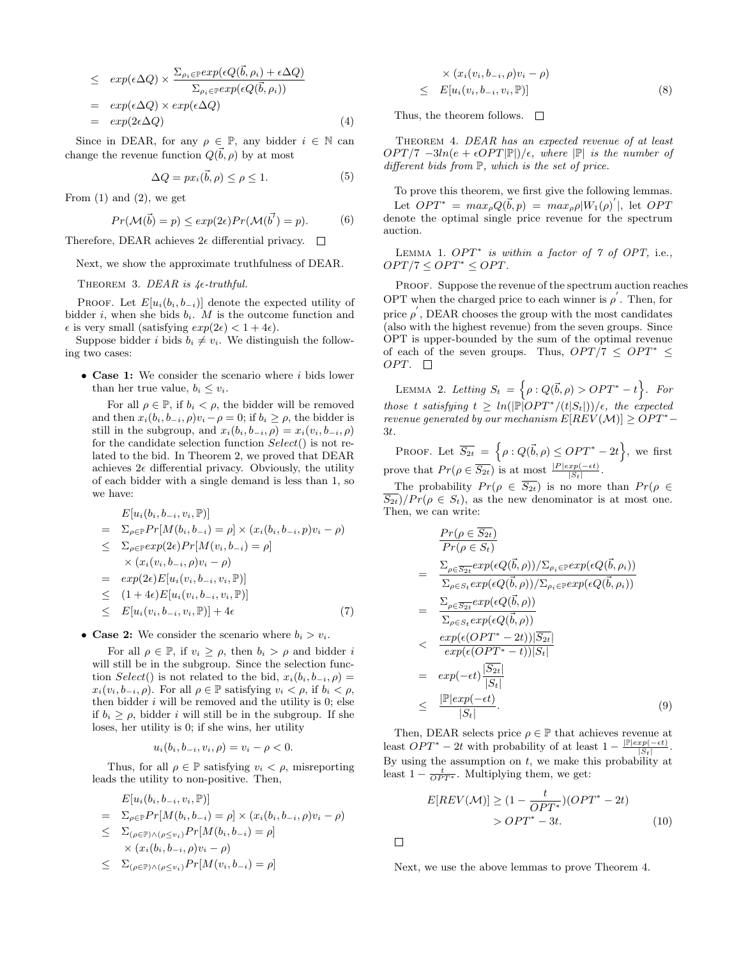$$
\leq exp(\epsilon \Delta Q) \times \frac{\sum_{\rho_i \in \mathbb{P}} exp(\epsilon Q(\vec{b}, \rho_i) + \epsilon \Delta Q)}{\sum_{\rho_i \in \mathbb{P}} exp(\epsilon Q(\vec{b}, \rho_i))}
$$
  
=  $exp(\epsilon \Delta Q) \times exp(\epsilon \Delta Q)$   
=  $exp(2\epsilon \Delta Q)$  (4)

Since in DEAR, for any  $\rho \in \mathbb{P}$ , any bidder  $i \in \mathbb{N}$  can change the revenue function  $Q(\vec{b}, \rho)$  by at most

$$
\Delta Q = px_i(\vec{b}, \rho) \le \rho \le 1. \tag{5}
$$

From  $(1)$  and  $(2)$ , we get

$$
Pr(\mathcal{M}(\vec{b}) = p) \le exp(2\epsilon) Pr(\mathcal{M}(\vec{b'}) = p).
$$
 (6)

Therefore, DEAR achieves  $2\epsilon$  differential privacy.  $\Box$ 

Next, we show the approximate truthfulness of DEAR.

THEOREM 3. DEAR is  $4\epsilon$ -truthful.

PROOF. Let  $E[u_i(b_i, b_{-i})]$  denote the expected utility of bidder i, when she bids  $b_i$ . M is the outcome function and  $\epsilon$  is very small (satisfying  $exp(2\epsilon) < 1 + 4\epsilon$ ).

Suppose bidder i bids  $b_i \neq v_i$ . We distinguish the following two cases:

• Case 1: We consider the scenario where i bids lower than her true value,  $b_i \leq v_i$ .

For all  $\rho \in \mathbb{P}$ , if  $b_i < \rho$ , the bidder will be removed and then  $x_i(b_i, b_{-i}, \rho)v_i - \rho = 0$ ; if  $b_i \geq \rho$ , the bidder is still in the subgroup, and  $x_i(b_i, b_{-i}, \rho) = x_i(v_i, b_{-i}, \rho)$ for the candidate selection function Select() is not related to the bid. In Theorem 2, we proved that DEAR achieves  $2\epsilon$  differential privacy. Obviously, the utility of each bidder with a single demand is less than 1, so we have:

$$
E[u_i(b_i, b_{-i}, v_i, \mathbb{P})]
$$
\n
$$
= \sum_{\rho \in \mathbb{P}} Pr[M(b_i, b_{-i}) = \rho] \times (x_i(b_i, b_{-i}, p)v_i - \rho)
$$
\n
$$
\leq \sum_{\rho \in \mathbb{P}} exp(2\epsilon) Pr[M(v_i, b_{-i}) = \rho]
$$
\n
$$
\times (x_i(v_i, b_{-i}, \rho)v_i - \rho)
$$
\n
$$
= exp(2\epsilon) E[u_i(v_i, b_{-i}, v_i, \mathbb{P})]
$$
\n
$$
(1, 1) \cdot \sum_{\rho \in \mathbb{P}} [v_i(v_i, b_{-i}, v_i, \mathbb{P})]
$$

$$
\leq (1+4\epsilon)E[u_i(v_i, b_{-i}, v_i, \mathbb{P})]
$$
  
\n
$$
\leq E[u_i(v_i, b_{-i}, v_i, \mathbb{P})] + 4\epsilon
$$
\n(7)

• Case 2: We consider the scenario where  $b_i > v_i$ .

For all  $\rho \in \mathbb{P}$ , if  $v_i \geq \rho$ , then  $b_i > \rho$  and bidder i will still be in the subgroup. Since the selection function Select() is not related to the bid,  $x_i(b_i, b_{-i}, \rho) =$  $x_i(v_i, b_{-i}, \rho)$ . For all  $\rho \in \mathbb{P}$  satisfying  $v_i < \rho$ , if  $b_i < \rho$ , then bidder  $i$  will be removed and the utility is 0; else if  $b_i > \rho$ , bidder i will still be in the subgroup. If she loses, her utility is 0; if she wins, her utility

$$
u_i(b_i, b_{-i}, v_i, \rho) = v_i - \rho < 0.
$$

Thus, for all  $\rho \in \mathbb{P}$  satisfying  $v_i < \rho$ , misreporting leads the utility to non-positive. Then,

$$
E[u_i(b_i, b_{-i}, v_i, \mathbb{P})]
$$
  
=  $\sum_{\rho \in \mathbb{P}} Pr[M(b_i, b_{-i}) = \rho] \times (x_i(b_i, b_{-i}, \rho)v_i - \rho)$   
 $\leq \sum_{(\rho \in \mathbb{P}) \land (\rho \leq v_i)} Pr[M(b_i, b_{-i}) = \rho]$ 

$$
\times (x_i(b_i, b_{-i}, \rho)v_i - \rho)
$$
  

$$
\times \sum_{k=1}^{n} p_m(M(v_i, b_{-i}) - \rho)
$$

$$
\leq \sum_{(\rho \in \mathbb{P}) \wedge (\rho \leq v_i)} Pr[M(v_i, b_{-i}) = \rho]
$$

$$
\times (x_i(v_i, b_{-i}, \rho)v_i - \rho) \leq E[u_i(v_i, b_{-i}, v_i, \mathbb{P})]
$$
\n(8)

Thus, the theorem follows.  $\Box$ 

THEOREM 4. DEAR has an expected revenue of at least  $OPT/7 - 3ln(e + \epsilon OPT|\mathbb{P}|)/\epsilon$ , where  $|\mathbb{P}|$  is the number of different bids from  $\mathbb{P}$ , which is the set of price.

To prove this theorem, we first give the following lemmas. Let  $OPT^* = max_{\rho} Q(\vec{b}, p) = max_{\rho} \rho |W_1(\rho)|$ , let  $OPT$ denote the optimal single price revenue for the spectrum auction.

LEMMA 1.  $OPT^*$  is within a factor of 7 of OPT, i.e.,  $OPT/7 \leq OPT^* \leq OPT$ .

PROOF. Suppose the revenue of the spectrum auction reaches OPT when the charged price to each winner is  $\rho'$ . Then, for price  $\rho$ , DEAR chooses the group with the most candidates (also with the highest revenue) from the seven groups. Since OPT is upper-bounded by the sum of the optimal revenue of each of the seven groups. Thus,  $OPT/7 \leq OPT^* \leq$ OPT.  $\Box$ 

LEMMA 2. Letting  $S_t = \left\{ \rho : Q(\vec{b}, \rho) > OPT^* - t \right\}$ . For those t satisfying  $t \geq ln(|\mathbb{P}|OPT^*/(t|S_t|))/\epsilon$ , the expected revenue generated by our mechanism  $E[REV(M)] \geq OPT^*$ 3t.

PROOF. Let  $\overline{S_{2t}} = \left\{ \rho : Q(\vec{b}, \rho) \leq OPT^* - 2t \right\}$ , we first prove that  $Pr(\rho \in \overline{S_{2t}})$  is at most  $\frac{|P| exp(-\epsilon t)}{|S_t|}$ .

The probability  $Pr(\rho \in \overline{S_{2t}})$  is no more than  $Pr(\rho \in$  $S_{2t}/Pr(\rho \in S_t)$ , as the new denominator is at most one. Then, we can write:

$$
\frac{Pr(\rho \in \overline{S_{2t}})}{Pr(\rho \in S_t)} = \frac{\sum_{\rho \in \overline{S_{2t}}} exp(\epsilon Q(\vec{b}, \rho))/\sum_{\rho_i \in \mathbb{P}} exp(\epsilon Q(\vec{b}, \rho_i))}{\sum_{\rho \in S_t} exp(\epsilon Q(\vec{b}, \rho))/\sum_{\rho_i \in \mathbb{P}} exp(\epsilon Q(\vec{b}, \rho_i))}
$$
\n
$$
= \frac{\sum_{\rho \in \overline{S_{2t}}} exp(\epsilon Q(\vec{b}, \rho))}{\sum_{\rho \in S_t} exp(\epsilon Q(\vec{b}, \rho))}
$$
\n
$$
< \frac{exp(\epsilon(OPT^* - 2t))|\overline{S_{2t}}|}{exp(\epsilon(OPT^* - t))|\overline{S_t}|}
$$
\n
$$
= exp(-\epsilon t) \frac{|\overline{S_{2t}}|}{|\overline{S_t}|}
$$
\n
$$
\leq \frac{|\mathbb{P}|exp(-\epsilon t)}{|\overline{S_t}|}. \tag{9}
$$

Then, DEAR selects price  $\rho \in \mathbb{P}$  that achieves revenue at least  $OPT^* - 2t$  with probability of at least  $1 - \frac{|\mathbb{P}| exp(-\epsilon t)}{|S_t|}$  $\frac{xp(-\epsilon t)}{|S_t|}$ . By using the assumption on  $t$ , we make this probability at least  $1 - \frac{t}{OPT^*}$ . Multiplying them, we get:

$$
E[REV(\mathcal{M})] \ge (1 - \frac{t}{OPT^*})(OPT^* - 2t)
$$
  
>  $OPT^* - 3t.$  (10)

 $\Box$ 

Next, we use the above lemmas to prove Theorem 4.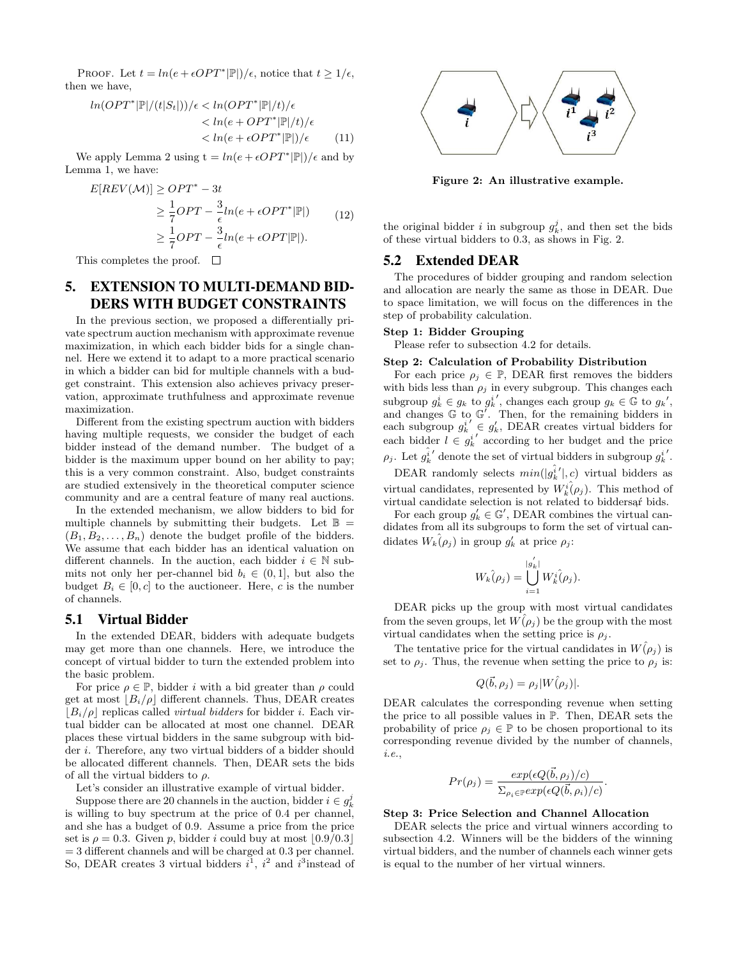PROOF. Let  $t = ln(e + \epsilon OPT^*|\mathbb{P}|)/\epsilon$ , notice that  $t \geq 1/\epsilon$ , then we have,

$$
ln(OPT^*|\mathbb{P}|/(t|S_t|))/\epsilon < ln(OPT^*|\mathbb{P}|/t)/\epsilon
$$
  

$$
< ln(e + OPT^*|\mathbb{P}|/t)/\epsilon
$$
  

$$
< ln(e + \epsilon OPT^*|\mathbb{P}|)/\epsilon
$$
 (11)

We apply Lemma 2 using  $t = ln(e + \epsilon OPT^*|\mathbb{P}|)/\epsilon$  and by Lemma 1, we have:

$$
E[REV(\mathcal{M})] \ge OPT^* - 3t
$$
  
\n
$$
\ge \frac{1}{7}OPT - \frac{3}{\epsilon}ln(e + \epsilon OPT^*|\mathbb{P}|)
$$
  
\n
$$
\ge \frac{1}{7}OPT - \frac{3}{\epsilon}ln(e + \epsilon OPT|\mathbb{P}|).
$$
\n(12)

This completes the proof.  $\Box$ 

# 5. EXTENSION TO MULTI-DEMAND BID-DERS WITH BUDGET CONSTRAINTS

In the previous section, we proposed a differentially private spectrum auction mechanism with approximate revenue maximization, in which each bidder bids for a single channel. Here we extend it to adapt to a more practical scenario in which a bidder can bid for multiple channels with a budget constraint. This extension also achieves privacy preservation, approximate truthfulness and approximate revenue maximization.

Different from the existing spectrum auction with bidders having multiple requests, we consider the budget of each bidder instead of the demand number. The budget of a bidder is the maximum upper bound on her ability to pay; this is a very common constraint. Also, budget constraints are studied extensively in the theoretical computer science community and are a central feature of many real auctions.

In the extended mechanism, we allow bidders to bid for multiple channels by submitting their budgets. Let  $\mathbb{B}$  =  $(B_1, B_2, \ldots, B_n)$  denote the budget profile of the bidders. We assume that each bidder has an identical valuation on different channels. In the auction, each bidder  $i \in \mathbb{N}$  submits not only her per-channel bid  $b_i \in (0, 1]$ , but also the budget  $B_i \in [0, c]$  to the auctioneer. Here, c is the number of channels.

# 5.1 Virtual Bidder

In the extended DEAR, bidders with adequate budgets may get more than one channels. Here, we introduce the concept of virtual bidder to turn the extended problem into the basic problem.

For price  $\rho \in \mathbb{P}$ , bidder *i* with a bid greater than  $\rho$  could get at most  $B_i/\rho$  different channels. Thus, DEAR creates  $|B_i/\rho|$  replicas called *virtual bidders* for bidder *i*. Each virtual bidder can be allocated at most one channel. DEAR places these virtual bidders in the same subgroup with bidder i. Therefore, any two virtual bidders of a bidder should be allocated different channels. Then, DEAR sets the bids of all the virtual bidders to  $\rho$ .

Let's consider an illustrative example of virtual bidder.

Suppose there are 20 channels in the auction, bidder  $i \in g_k^j$ is willing to buy spectrum at the price of 0.4 per channel, and she has a budget of 0.9. Assume a price from the price set is  $\rho = 0.3$ . Given p, bidder i could buy at most  $\lfloor 0.9/0.3 \rfloor$  $=$  3 different channels and will be charged at 0.3 per channel. So, DEAR creates 3 virtual bidders  $i^1$ ,  $i^2$  and  $i^3$  instead of



Figure 2: An illustrative example.

the original bidder *i* in subgroup  $g_k^j$ , and then set the bids of these virtual bidders to 0.3, as shows in Fig. 2.

### 5.2 Extended DEAR

The procedures of bidder grouping and random selection and allocation are nearly the same as those in DEAR. Due to space limitation, we will focus on the differences in the step of probability calculation.

### Step 1: Bidder Grouping

Please refer to subsection 4.2 for details.

### Step 2: Calculation of Probability Distribution

For each price  $\rho_i \in \mathbb{P}$ , DEAR first removes the bidders with bids less than  $\rho_j$  in every subgroup. This changes each subgroup  $g_k^i \in g_k$  to  $g_k^{i'}$ , changes each group  $g_k \in \mathbb{G}$  to  $g_k'$ , and changes  $\mathbb G$  to  $\mathbb G'$ . Then, for the remaining bidders in each subgroup  $g_k^{i'} \in g'_k$ , DEAR creates virtual bidders for each bidder  $l \in g_k^{i'}$  according to her budget and the price  $\rho_j$ . Let  $g_k^{\hat{i}'}$  denote the set of virtual bidders in subgroup  $g_k^{i'}$ .

DEAR randomly selects  $min(|g_k^{\hat{i}}'|, c)$  virtual bidders as virtual candidates, represented by  $W_k^i(\rho_j)$ . This method of virtual candidate selection is not related to biddersaf bids.

For each group  $g'_k \in \mathbb{G}'$ , DEAR combines the virtual candidates from all its subgroups to form the set of virtual candidates  $W_k(\rho_j)$  in group  $g'_k$  at price  $\rho_j$ :

$$
W_k(\rho_j) = \bigcup_{i=1}^{|g'_k|} W_k^i(\rho_j).
$$

DEAR picks up the group with most virtual candidates from the seven groups, let  $W(\rho_i)$  be the group with the most virtual candidates when the setting price is  $\rho_j$ .

The tentative price for the virtual candidates in  $W(\rho_j)$  is set to  $\rho_i$ . Thus, the revenue when setting the price to  $\rho_i$  is:

$$
Q(\vec{b}, \rho_j) = \rho_j |W(\rho_j)|.
$$

DEAR calculates the corresponding revenue when setting the price to all possible values in P. Then, DEAR sets the probability of price  $\rho_i \in \mathbb{P}$  to be chosen proportional to its corresponding revenue divided by the number of channels, i.e.,

$$
Pr(\rho_j) = \frac{exp(\epsilon Q(\vec{b}, \rho_j)/c)}{\sum_{\rho_i \in \mathbb{P}} exp(\epsilon Q(\vec{b}, \rho_i)/c)}.
$$

#### Step 3: Price Selection and Channel Allocation

DEAR selects the price and virtual winners according to subsection 4.2. Winners will be the bidders of the winning virtual bidders, and the number of channels each winner gets is equal to the number of her virtual winners.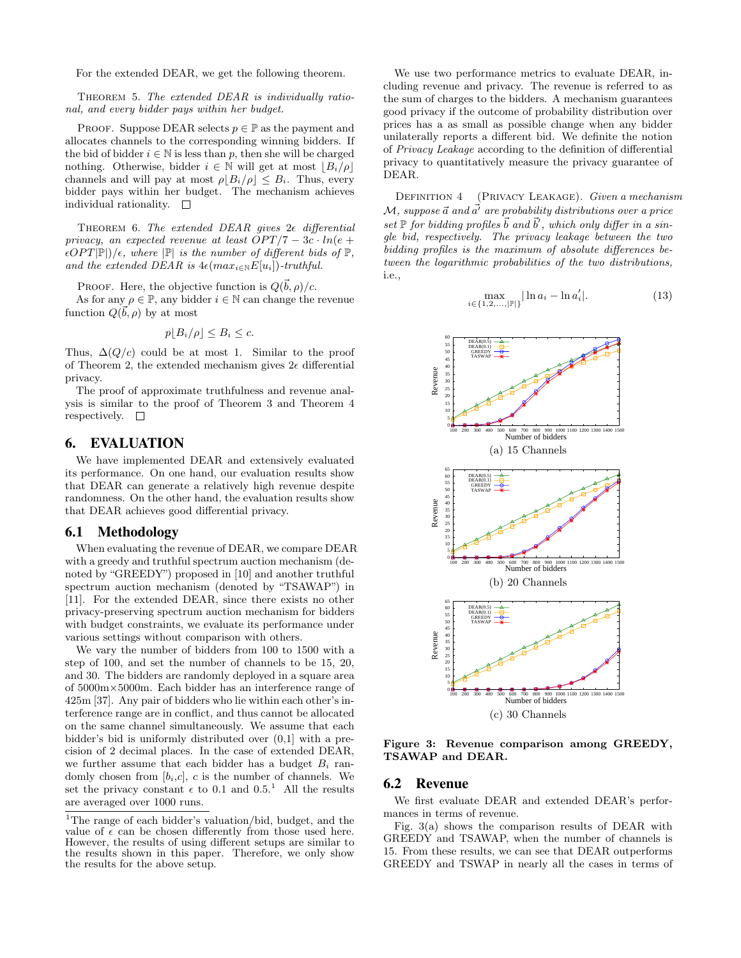For the extended DEAR, we get the following theorem.

THEOREM 5. The extended DEAR is individually rational, and every bidder pays within her budget.

PROOF. Suppose DEAR selects  $p \in \mathbb{P}$  as the payment and allocates channels to the corresponding winning bidders. If the bid of bidder  $i \in \mathbb{N}$  is less than p, then she will be charged nothing. Otherwise, bidder  $i \in \mathbb{N}$  will get at most  $|B_i/\rho|$ channels and will pay at most  $\rho |B_i/\rho| \leq B_i$ . Thus, every bidder pays within her budget. The mechanism achieves individual rationality.  $\square$ 

THEOREM 6. The extended DEAR gives  $2\epsilon$  differential privacy, an expected revenue at least  $OPT/7 - 3c \cdot ln(e +$  $\epsilon$ OPT $|\mathbb{P}|/\epsilon$ , where  $|\mathbb{P}|$  is the number of different bids of  $\mathbb{P}$ , and the extended DEAR is  $4\epsilon(max_{i\in\mathbb{N}}E[u_i])$ -truthful.

PROOF. Here, the objective function is  $Q(\vec{b}, \rho)/c$ .

As for any  $\rho \in \mathbb{P}$ , any bidder  $i \in \mathbb{N}$  can change the revenue function  $Q(\vec{b}, \rho)$  by at most

$$
p\lfloor B_i/\rho\rfloor \leq B_i \leq c.
$$

Thus,  $\Delta(Q/c)$  could be at most 1. Similar to the proof of Theorem 2, the extended mechanism gives  $2\epsilon$  differential privacy.

The proof of approximate truthfulness and revenue analysis is similar to the proof of Theorem 3 and Theorem 4 respectively.  $\square$ 

# 6. EVALUATION

We have implemented DEAR and extensively evaluated its performance. On one hand, our evaluation results show that DEAR can generate a relatively high revenue despite randomness. On the other hand, the evaluation results show that DEAR achieves good differential privacy.

### 6.1 Methodology

When evaluating the revenue of DEAR, we compare DEAR with a greedy and truthful spectrum auction mechanism (denoted by "GREEDY") proposed in [10] and another truthful spectrum auction mechanism (denoted by "TSAWAP") in [11]. For the extended DEAR, since there exists no other privacy-preserving spectrum auction mechanism for bidders with budget constraints, we evaluate its performance under various settings without comparison with others.

We vary the number of bidders from 100 to 1500 with a step of 100, and set the number of channels to be 15, 20, and 30. The bidders are randomly deployed in a square area of 5000m×5000m. Each bidder has an interference range of 425m [37]. Any pair of bidders who lie within each other's interference range are in conflict, and thus cannot be allocated on the same channel simultaneously. We assume that each bidder's bid is uniformly distributed over (0,1] with a precision of 2 decimal places. In the case of extended DEAR, we further assume that each bidder has a budget  $B_i$  randomly chosen from  $[b_i,c]$ , c is the number of channels. We set the privacy constant  $\epsilon$  to 0.1 and 0.5.<sup>1</sup> All the results are averaged over 1000 runs.

We use two performance metrics to evaluate DEAR, including revenue and privacy. The revenue is referred to as the sum of charges to the bidders. A mechanism guarantees good privacy if the outcome of probability distribution over prices has a as small as possible change when any bidder unilaterally reports a different bid. We definite the notion of Privacy Leakage according to the definition of differential privacy to quantitatively measure the privacy guarantee of DEAR.

DEFINITION 4 (PRIVACY LEAKAGE). Given a mechanism  $\mathcal{M}$ , suppose  $\vec{a}$  and  $\vec{a'}$  are probability distributions over a price set  $\mathbb P$  for bidding profiles  $\vec b$  and  $\vec b'$ , which only differ in a single bid, respectively. The privacy leakage between the two bidding profiles is the maximum of absolute differences between the logarithmic probabilities of the two distributions, i.e.,

$$
\max_{i \in \{1, 2, \dots, |\mathbb{P}|\}} |\ln a_i - \ln a'_i|.
$$
 (13)



Figure 3: Revenue comparison among GREEDY, TSAWAP and DEAR.

### 6.2 Revenue

We first evaluate DEAR and extended DEAR's performances in terms of revenue.

Fig. 3(a) shows the comparison results of DEAR with GREEDY and TSAWAP, when the number of channels is 15. From these results, we can see that DEAR outperforms GREEDY and TSWAP in nearly all the cases in terms of

<sup>1</sup>The range of each bidder's valuation/bid, budget, and the value of  $\epsilon$  can be chosen differently from those used here. However, the results of using different setups are similar to the results shown in this paper. Therefore, we only show the results for the above setup.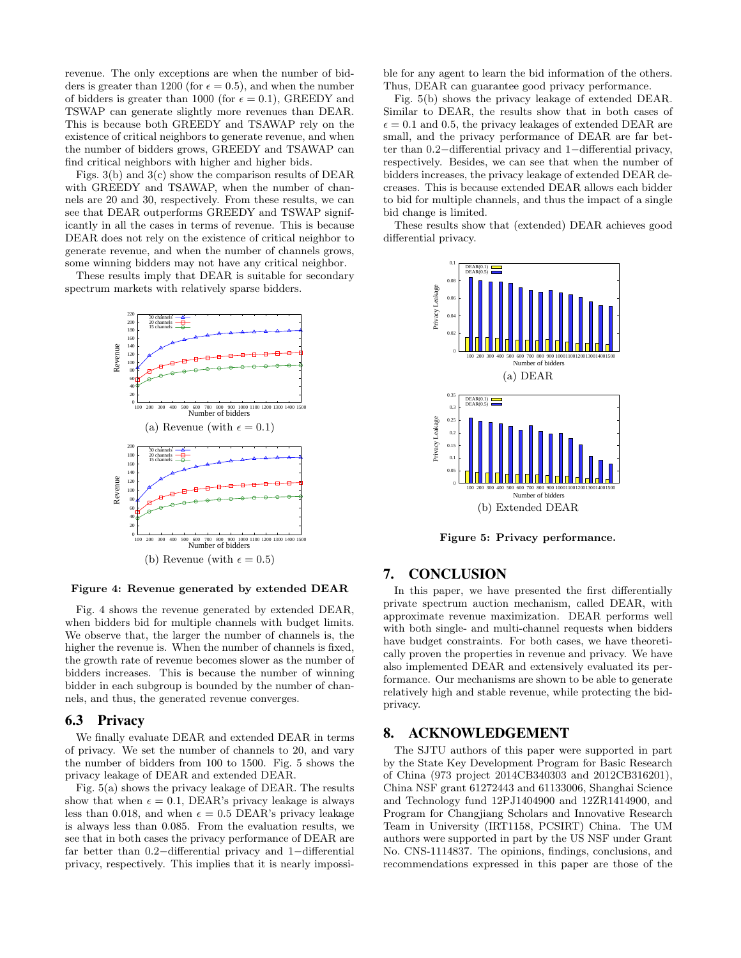revenue. The only exceptions are when the number of bidders is greater than 1200 (for  $\epsilon = 0.5$ ), and when the number of bidders is greater than 1000 (for  $\epsilon = 0.1$ ), GREEDY and TSWAP can generate slightly more revenues than DEAR. This is because both GREEDY and TSAWAP rely on the existence of critical neighbors to generate revenue, and when the number of bidders grows, GREEDY and TSAWAP can find critical neighbors with higher and higher bids.

Figs. 3(b) and 3(c) show the comparison results of DEAR with GREEDY and TSAWAP, when the number of channels are 20 and 30, respectively. From these results, we can see that DEAR outperforms GREEDY and TSWAP significantly in all the cases in terms of revenue. This is because DEAR does not rely on the existence of critical neighbor to generate revenue, and when the number of channels grows, some winning bidders may not have any critical neighbor.

These results imply that DEAR is suitable for secondary spectrum markets with relatively sparse bidders.



Figure 4: Revenue generated by extended DEAR

Fig. 4 shows the revenue generated by extended DEAR, when bidders bid for multiple channels with budget limits. We observe that, the larger the number of channels is, the higher the revenue is. When the number of channels is fixed, the growth rate of revenue becomes slower as the number of bidders increases. This is because the number of winning bidder in each subgroup is bounded by the number of channels, and thus, the generated revenue converges.

### 6.3 Privacy

We finally evaluate DEAR and extended DEAR in terms of privacy. We set the number of channels to 20, and vary the number of bidders from 100 to 1500. Fig. 5 shows the privacy leakage of DEAR and extended DEAR.

Fig. 5(a) shows the privacy leakage of DEAR. The results show that when  $\epsilon = 0.1$ , DEAR's privacy leakage is always less than 0.018, and when  $\epsilon = 0.5$  DEAR's privacy leakage is always less than 0.085. From the evaluation results, we see that in both cases the privacy performance of DEAR are far better than 0.2−differential privacy and 1−differential privacy, respectively. This implies that it is nearly impossible for any agent to learn the bid information of the others. Thus, DEAR can guarantee good privacy performance.

Fig. 5(b) shows the privacy leakage of extended DEAR. Similar to DEAR, the results show that in both cases of  $\epsilon = 0.1$  and 0.5, the privacy leakages of extended DEAR are small, and the privacy performance of DEAR are far better than 0.2−differential privacy and 1−differential privacy, respectively. Besides, we can see that when the number of bidders increases, the privacy leakage of extended DEAR decreases. This is because extended DEAR allows each bidder to bid for multiple channels, and thus the impact of a single bid change is limited.

These results show that (extended) DEAR achieves good differential privacy.



Figure 5: Privacy performance.

### 7. CONCLUSION

In this paper, we have presented the first differentially private spectrum auction mechanism, called DEAR, with approximate revenue maximization. DEAR performs well with both single- and multi-channel requests when bidders have budget constraints. For both cases, we have theoretically proven the properties in revenue and privacy. We have also implemented DEAR and extensively evaluated its performance. Our mechanisms are shown to be able to generate relatively high and stable revenue, while protecting the bidprivacy.

# 8. ACKNOWLEDGEMENT

The SJTU authors of this paper were supported in part by the State Key Development Program for Basic Research of China (973 project 2014CB340303 and 2012CB316201), China NSF grant 61272443 and 61133006, Shanghai Science and Technology fund 12PJ1404900 and 12ZR1414900, and Program for Changjiang Scholars and Innovative Research Team in University (IRT1158, PCSIRT) China. The UM authors were supported in part by the US NSF under Grant No. CNS-1114837. The opinions, findings, conclusions, and recommendations expressed in this paper are those of the